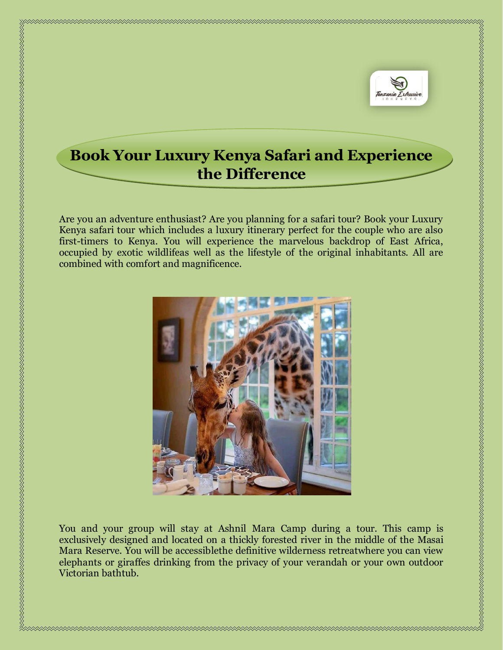

## **Book Your Luxury Kenya Safari and Experience the Difference**

Are you an adventure enthusiast? Are you planning for a safari tour? Book your Luxury Kenya safari tour which includes a luxury itinerary perfect for the couple who are also first-timers to Kenya. You will experience the marvelous backdrop of East Africa, occupied by exotic wildlifeas well as the lifestyle of the original inhabitants. All are combined with comfort and magnificence.



You and your group will stay at Ashnil Mara Camp during a tour. This camp is exclusively designed and located on a thickly forested river in the middle of the Masai Mara Reserve. You will be accessiblethe definitive wilderness retreatwhere you can view elephants or giraffes drinking from the privacy of your verandah or your own outdoor Victorian bathtub.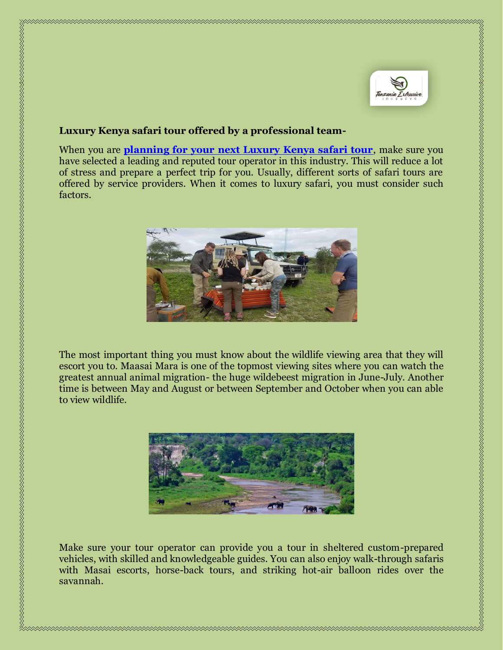

## **Luxury Kenya safari tour offered by a professional team-**

When you are **[planning for your next Luxury Kenya safari tour](https://tanzaniaexclusive.com/kenya-exclusive-journeys/)**, make sure you have selected a leading and reputed tour operator in this industry. This will reduce a lot of stress and prepare a perfect trip for you. Usually, different sorts of safari tours are offered by service providers. When it comes to luxury safari, you must consider such factors.



The most important thing you must know about the wildlife viewing area that they will escort you to. Maasai Mara is one of the topmost viewing sites where you can watch the greatest annual animal migration- the huge wildebeest migration in June-July. Another time is between May and August or between September and October when you can able to view wildlife.



Make sure your tour operator can provide you a tour in sheltered custom-prepared vehicles, with skilled and knowledgeable guides. You can also enjoy walk-through safaris with Masai escorts, horse-back tours, and striking hot-air balloon rides over the savannah.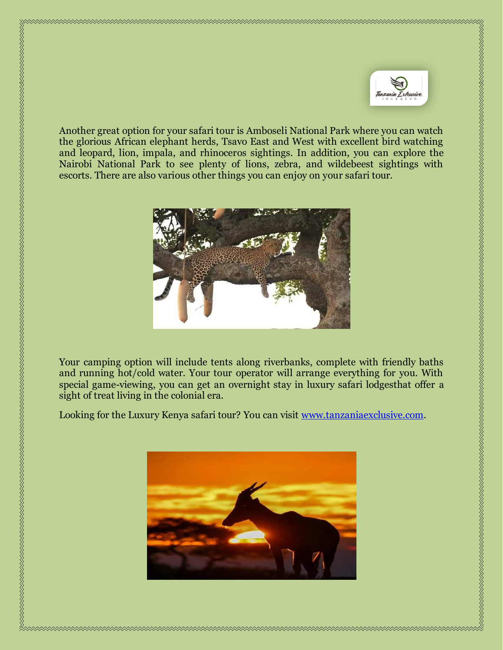

Another great option for your safari tour is Amboseli National Park where you can watch the glorious African elephant herds, Tsavo East and West with excellent bird watching and leopard, lion, impala, and rhinoceros sightings. In addition, you can explore the Nairobi National Park to see plenty of lions, zebra, and wildebeest sightings with escorts. There are also various other things you can enjoy on your safari tour.



Your camping option will include tents along riverbanks, complete with friendly baths and running hot/cold water. Your tour operator will arrange everything for you. With special game-viewing, you can get an overnight stay in luxury safari lodgesthat offer a

Looking for the Luxury Kenya safari tour? You can visit [www.tanzaniaexclusive.com.](http://www.tanzaniaexclusive.com/)